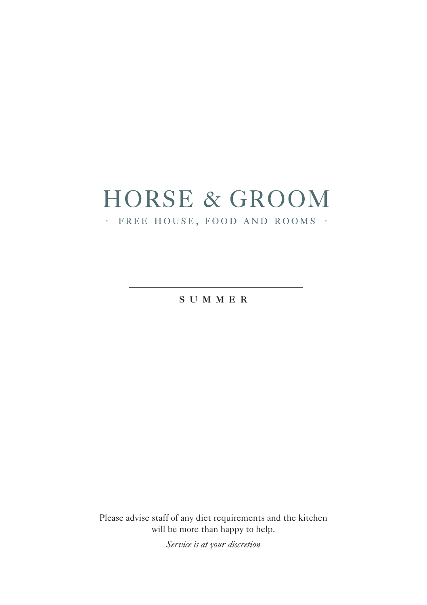# **HORSE & GROOM**

#### · FREE HOUSE, FOOD AND ROOMS ·

**s u m m e r**

Please advise staff of any diet requirements and the kitchen will be more than happy to help.

*Service is at your discretion*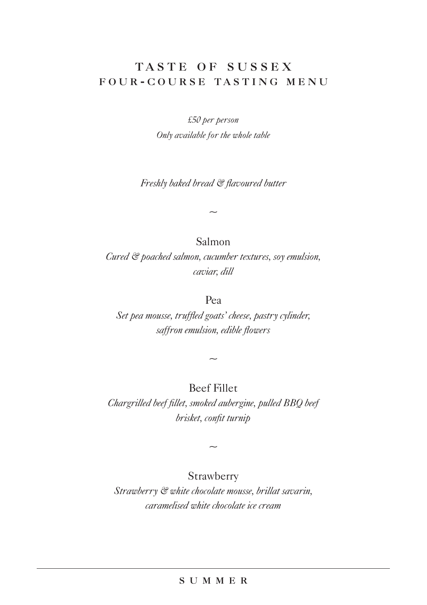### **t a s t e o f s u s s e x f o u r - c o u r s e t a s t i n g m e n u**

*£50 per person Only available for the whole table*

*Freshly baked bread & flavoured butter*

 $\sim$ 

Salmon

*Cured & poached salmon, cucumber textures, soy emulsion, caviar, dill* 

Pea

*Set pea mousse, truffled goats' cheese, pastry cylinder, saffron emulsion, edible flowers* 

Beef Fillet

 $\sim$ 

*Chargrilled beef fillet, smoked aubergine, pulled BBQ beef brisket, confit turnip* 

 $\sim$ 

Strawberry

*Strawberry & white chocolate mousse, brillat savarin, caramelised white chocolate ice cream* 

#### **s u m m e r**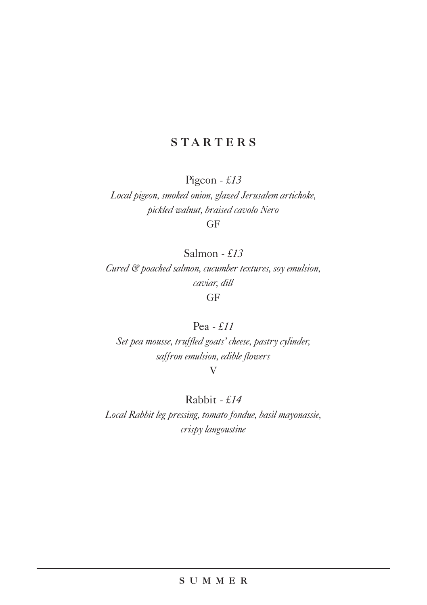# **STARTERS**

Pigeon *- £13*

*Local pigeon, smoked onion, glazed Jerusalem artichoke, pickled walnut, braised cavolo Nero*  GF

Salmon *- £13*

*Cured & poached salmon, cucumber textures, soy emulsion, caviar, dill* GF

#### Pea *- £11*

*Set pea mousse, truffled goats' cheese, pastry cylinder, saffron emulsion, edible flowers* 

V

# Rabbit *- £14*

*Local Rabbit leg pressing, tomato fondue, basil mayonassie, crispy langoustine*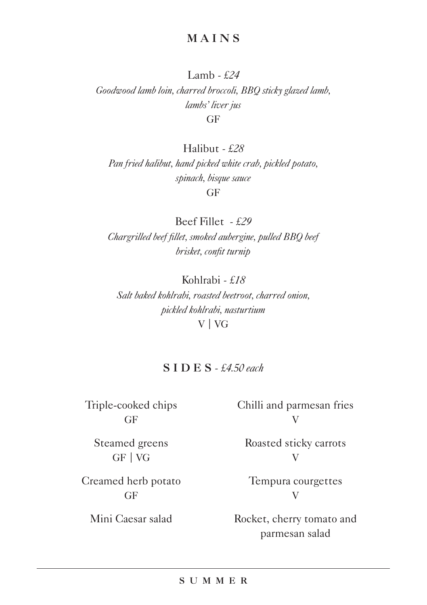Lamb *- £24 Goodwood lamb loin, charred broccoli, BBQ sticky glazed lamb, lambs' liver jus*  GF

Halibut *- £28*

*Pan fried halibut, hand picked white crab, pickled potato, spinach, bisque sauce*  GF

Beef Fillet *- £29 Chargrilled beef fillet, smoked aubergine, pulled BBQ beef brisket, confit turnip* 

Kohlrabi *- £18 Salt baked kohlrabi, roasted beetroot, charred onion, pickled kohlrabi, nasturtium*  V | VG

#### **S I D E S** *- £4.50 each*

Triple-cooked chips GF

Chilli and parmesan fries V

Steamed greens GF | VG

Creamed herb potato GF

Mini Caesar salad

Roasted sticky carrots V

Tempura courgettes V

Rocket, cherry tomato and parmesan salad